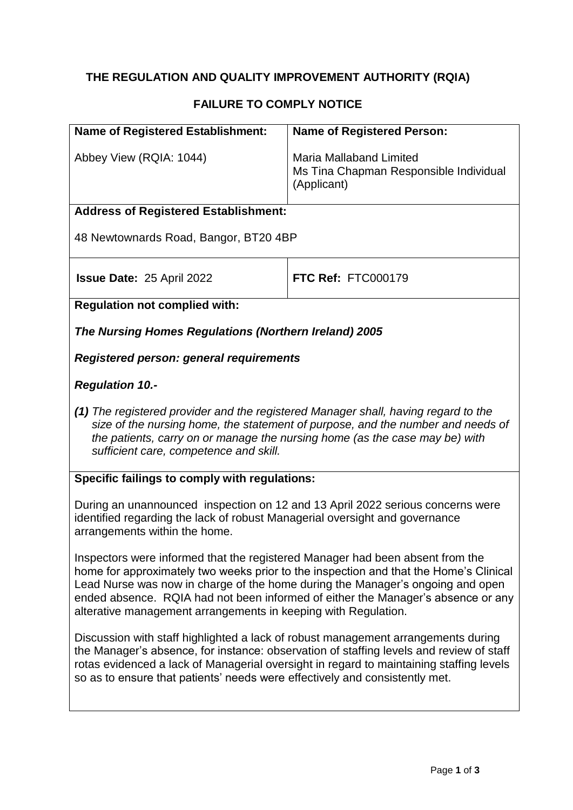# **THE REGULATION AND QUALITY IMPROVEMENT AUTHORITY (RQIA)**

## **FAILURE TO COMPLY NOTICE**

| <b>Name of Registered Establishment:</b>                                                                                                        | <b>Name of Registered Person:</b>                                                                                                                                                                                                                                       |
|-------------------------------------------------------------------------------------------------------------------------------------------------|-------------------------------------------------------------------------------------------------------------------------------------------------------------------------------------------------------------------------------------------------------------------------|
| Abbey View (RQIA: 1044)                                                                                                                         | <b>Maria Mallaband Limited</b><br>Ms Tina Chapman Responsible Individual<br>(Applicant)                                                                                                                                                                                 |
| <b>Address of Registered Establishment:</b>                                                                                                     |                                                                                                                                                                                                                                                                         |
| 48 Newtownards Road, Bangor, BT20 4BP                                                                                                           |                                                                                                                                                                                                                                                                         |
| <b>Issue Date: 25 April 2022</b>                                                                                                                | <b>FTC Ref: FTC000179</b>                                                                                                                                                                                                                                               |
| <b>Regulation not complied with:</b>                                                                                                            |                                                                                                                                                                                                                                                                         |
| The Nursing Homes Regulations (Northern Ireland) 2005                                                                                           |                                                                                                                                                                                                                                                                         |
| <b>Registered person: general requirements</b>                                                                                                  |                                                                                                                                                                                                                                                                         |
| <b>Regulation 10.-</b>                                                                                                                          |                                                                                                                                                                                                                                                                         |
| (1) The registered provider and the registered Manager shall, having regard to the<br>sufficient care, competence and skill.                    | size of the nursing home, the statement of purpose, and the number and needs of<br>the patients, carry on or manage the nursing home (as the case may be) with                                                                                                          |
| Specific failings to comply with regulations:                                                                                                   |                                                                                                                                                                                                                                                                         |
| identified regarding the lack of robust Managerial oversight and governance<br>arrangements within the home.                                    | During an unannounced inspection on 12 and 13 April 2022 serious concerns were                                                                                                                                                                                          |
| Inspectors were informed that the registered Manager had been absent from the<br>alterative management arrangements in keeping with Regulation. | home for approximately two weeks prior to the inspection and that the Home's Clinical<br>Lead Nurse was now in charge of the home during the Manager's ongoing and open<br>ended absence. RQIA had not been informed of either the Manager's absence or any             |
| so as to ensure that patients' needs were effectively and consistently met.                                                                     | Discussion with staff highlighted a lack of robust management arrangements during<br>the Manager's absence, for instance: observation of staffing levels and review of staff<br>rotas evidenced a lack of Managerial oversight in regard to maintaining staffing levels |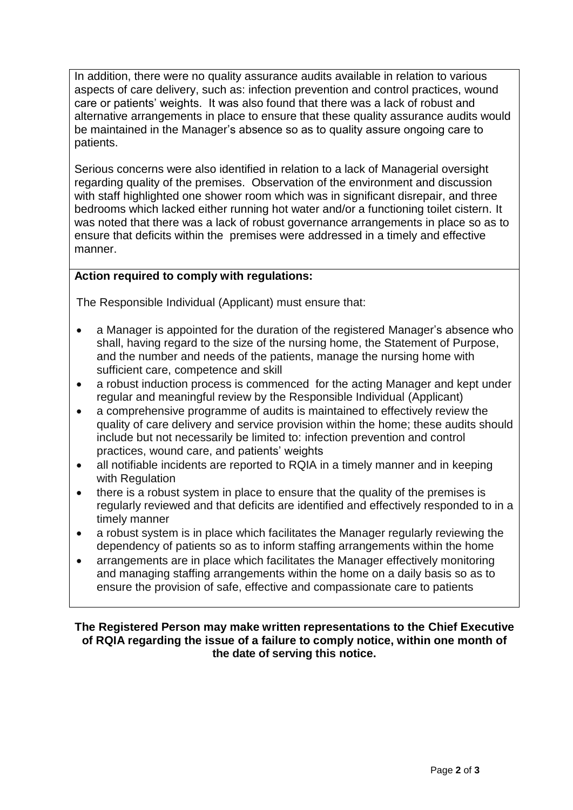In addition, there were no quality assurance audits available in relation to various aspects of care delivery, such as: infection prevention and control practices, wound care or patients' weights. It was also found that there was a lack of robust and alternative arrangements in place to ensure that these quality assurance audits would be maintained in the Manager's absence so as to quality assure ongoing care to patients.

Serious concerns were also identified in relation to a lack of Managerial oversight regarding quality of the premises. Observation of the environment and discussion with staff highlighted one shower room which was in significant disrepair, and three bedrooms which lacked either running hot water and/or a functioning toilet cistern. It was noted that there was a lack of robust governance arrangements in place so as to ensure that deficits within the premises were addressed in a timely and effective manner.

### **Action required to comply with regulations:**

The Responsible Individual (Applicant) must ensure that:

- a Manager is appointed for the duration of the registered Manager's absence who shall, having regard to the size of the nursing home, the Statement of Purpose, and the number and needs of the patients, manage the nursing home with sufficient care, competence and skill
- a robust induction process is commenced for the acting Manager and kept under regular and meaningful review by the Responsible Individual (Applicant)
- a comprehensive programme of audits is maintained to effectively review the quality of care delivery and service provision within the home; these audits should include but not necessarily be limited to: infection prevention and control practices, wound care, and patients' weights
- all notifiable incidents are reported to RQIA in a timely manner and in keeping with Regulation
- there is a robust system in place to ensure that the quality of the premises is regularly reviewed and that deficits are identified and effectively responded to in a timely manner
- a robust system is in place which facilitates the Manager regularly reviewing the dependency of patients so as to inform staffing arrangements within the home
- arrangements are in place which facilitates the Manager effectively monitoring and managing staffing arrangements within the home on a daily basis so as to ensure the provision of safe, effective and compassionate care to patients

#### **The Registered Person may make written representations to the Chief Executive of RQIA regarding the issue of a failure to comply notice, within one month of the date of serving this notice.**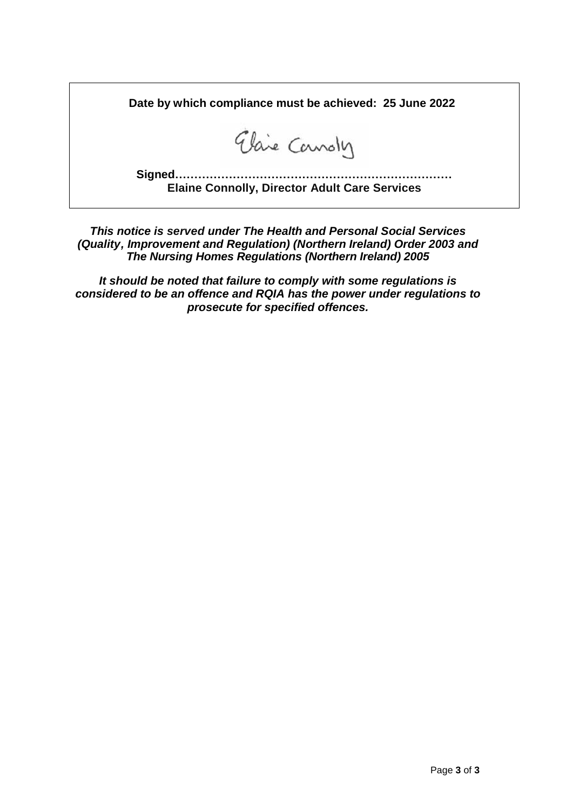**Date by which compliance must be achieved: 25 June 2022**

Elaie Canoly

**Signed……………………………………………………………… Elaine Connolly, Director Adult Care Services**

*This notice is served under The Health and Personal Social Services (Quality, Improvement and Regulation) (Northern Ireland) Order 2003 and The Nursing Homes Regulations (Northern Ireland) 2005*

*It should be noted that failure to comply with some regulations is considered to be an offence and RQIA has the power under regulations to prosecute for specified offences.*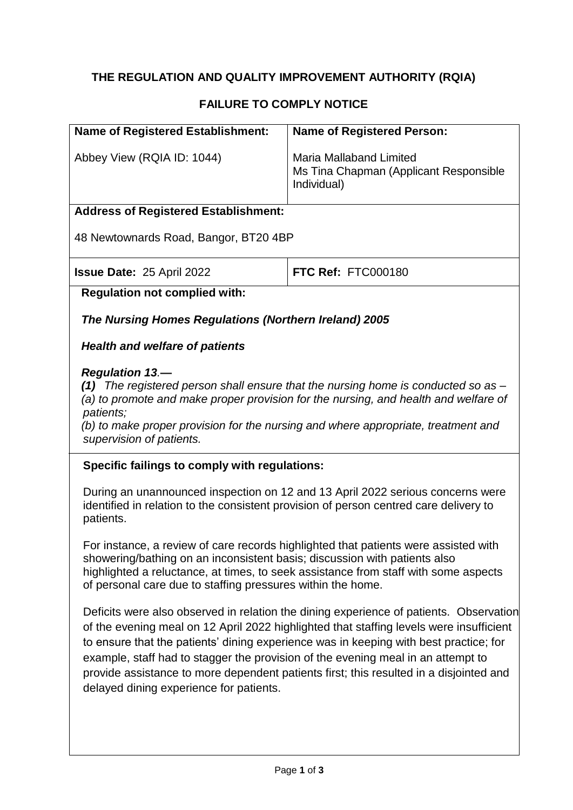## **THE REGULATION AND QUALITY IMPROVEMENT AUTHORITY (RQIA)**

## **FAILURE TO COMPLY NOTICE**

| <b>Name of Registered Establishment:</b>              | <b>Name of Registered Person:</b>                                                                                                                                          |
|-------------------------------------------------------|----------------------------------------------------------------------------------------------------------------------------------------------------------------------------|
| Abbey View (RQIA ID: 1044)                            | <b>Maria Mallaband Limited</b><br>Ms Tina Chapman (Applicant Responsible<br>Individual)                                                                                    |
| <b>Address of Registered Establishment:</b>           |                                                                                                                                                                            |
| 48 Newtownards Road, Bangor, BT20 4BP                 |                                                                                                                                                                            |
| <b>Issue Date: 25 April 2022</b>                      | FTC Ref: FTC000180                                                                                                                                                         |
| <b>Regulation not complied with:</b>                  |                                                                                                                                                                            |
| The Nursing Homes Regulations (Northern Ireland) 2005 |                                                                                                                                                                            |
| <b>Health and welfare of patients</b>                 |                                                                                                                                                                            |
| <b>Regulation 13.-</b>                                | (1) The registered person shall ensure that the nursing home is conducted so as $-$<br>(a) to promote and make proper provision for the nursing, and health and welfare of |

*patients;* 

*(b) to make proper provision for the nursing and where appropriate, treatment and supervision of patients.*

#### **Specific failings to comply with regulations:**

During an unannounced inspection on 12 and 13 April 2022 serious concerns were identified in relation to the consistent provision of person centred care delivery to patients.

For instance, a review of care records highlighted that patients were assisted with showering/bathing on an inconsistent basis; discussion with patients also highlighted a reluctance, at times, to seek assistance from staff with some aspects of personal care due to staffing pressures within the home.

Deficits were also observed in relation the dining experience of patients. Observation of the evening meal on 12 April 2022 highlighted that staffing levels were insufficient to ensure that the patients' dining experience was in keeping with best practice; for example, staff had to stagger the provision of the evening meal in an attempt to provide assistance to more dependent patients first; this resulted in a disjointed and delayed dining experience for patients.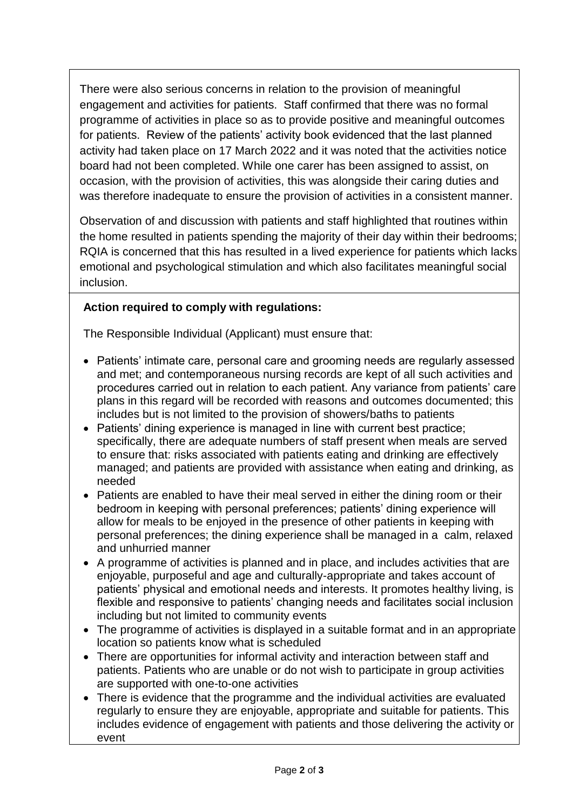There were also serious concerns in relation to the provision of meaningful engagement and activities for patients. Staff confirmed that there was no formal programme of activities in place so as to provide positive and meaningful outcomes for patients. Review of the patients' activity book evidenced that the last planned activity had taken place on 17 March 2022 and it was noted that the activities notice board had not been completed. While one carer has been assigned to assist, on occasion, with the provision of activities, this was alongside their caring duties and was therefore inadequate to ensure the provision of activities in a consistent manner.

Observation of and discussion with patients and staff highlighted that routines within the home resulted in patients spending the majority of their day within their bedrooms; RQIA is concerned that this has resulted in a lived experience for patients which lacks emotional and psychological stimulation and which also facilitates meaningful social inclusion.

## **Action required to comply with regulations:**

The Responsible Individual (Applicant) must ensure that:

- Patients' intimate care, personal care and grooming needs are regularly assessed and met; and contemporaneous nursing records are kept of all such activities and procedures carried out in relation to each patient. Any variance from patients' care plans in this regard will be recorded with reasons and outcomes documented; this includes but is not limited to the provision of showers/baths to patients
- Patients' dining experience is managed in line with current best practice; specifically, there are adequate numbers of staff present when meals are served to ensure that: risks associated with patients eating and drinking are effectively managed; and patients are provided with assistance when eating and drinking, as needed
- Patients are enabled to have their meal served in either the dining room or their bedroom in keeping with personal preferences; patients' dining experience will allow for meals to be enjoyed in the presence of other patients in keeping with personal preferences; the dining experience shall be managed in a calm, relaxed and unhurried manner
- A programme of activities is planned and in place, and includes activities that are enjoyable, purposeful and age and culturally-appropriate and takes account of patients' physical and emotional needs and interests. It promotes healthy living, is flexible and responsive to patients' changing needs and facilitates social inclusion including but not limited to community events
- The programme of activities is displayed in a suitable format and in an appropriate location so patients know what is scheduled
- There are opportunities for informal activity and interaction between staff and patients. Patients who are unable or do not wish to participate in group activities are supported with one-to-one activities
- There is evidence that the programme and the individual activities are evaluated regularly to ensure they are enjoyable, appropriate and suitable for patients. This includes evidence of engagement with patients and those delivering the activity or event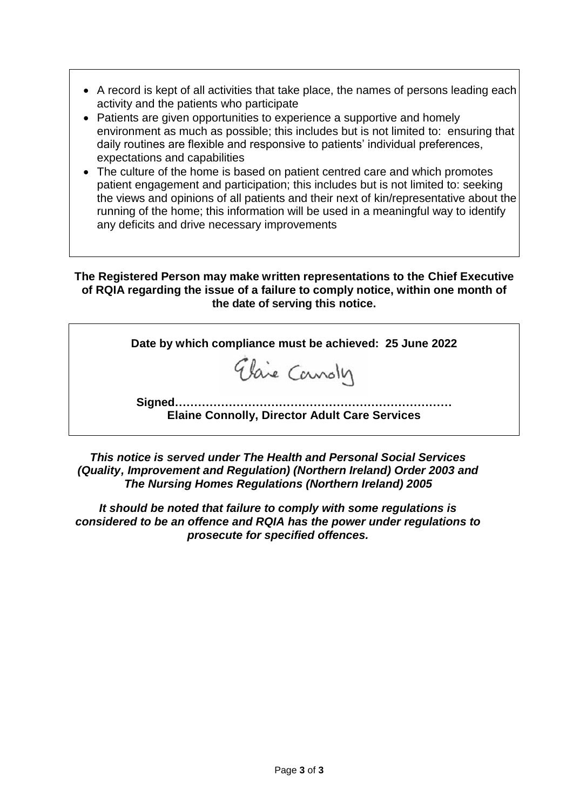- A record is kept of all activities that take place, the names of persons leading each activity and the patients who participate
- Patients are given opportunities to experience a supportive and homely environment as much as possible; this includes but is not limited to: ensuring that daily routines are flexible and responsive to patients' individual preferences, expectations and capabilities
- The culture of the home is based on patient centred care and which promotes patient engagement and participation; this includes but is not limited to: seeking the views and opinions of all patients and their next of kin/representative about the running of the home; this information will be used in a meaningful way to identify any deficits and drive necessary improvements

**The Registered Person may make written representations to the Chief Executive of RQIA regarding the issue of a failure to comply notice, within one month of the date of serving this notice.**

**Date by which compliance must be achieved: 25 June 2022** Elaie Canoly **Signed……………………………………………………………… Elaine Connolly, Director Adult Care Services**

*This notice is served under The Health and Personal Social Services (Quality, Improvement and Regulation) (Northern Ireland) Order 2003 and The Nursing Homes Regulations (Northern Ireland) 2005*

*It should be noted that failure to comply with some regulations is considered to be an offence and RQIA has the power under regulations to prosecute for specified offences.*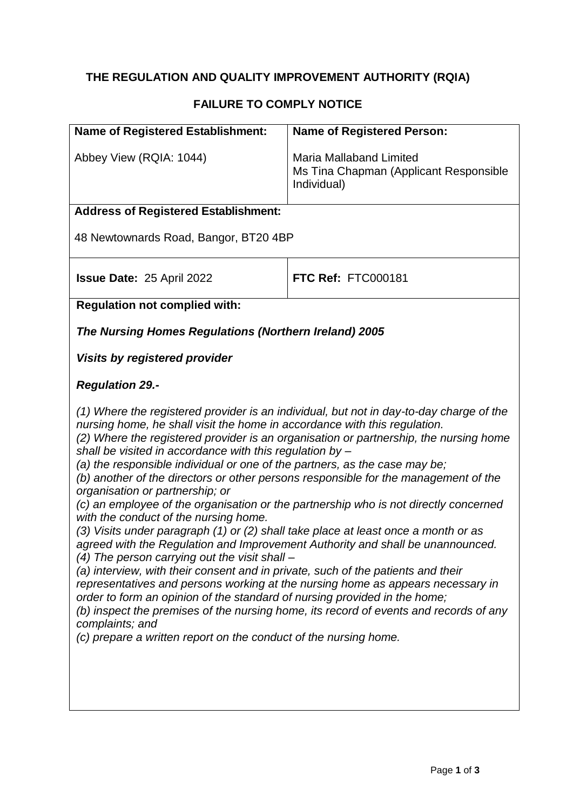# **THE REGULATION AND QUALITY IMPROVEMENT AUTHORITY (RQIA)**

# **FAILURE TO COMPLY NOTICE**

| <b>Name of Registered Establishment:</b>                                                                                                                                                                                                                                                                                                                                                                                                                                                                                                                                                                                                                                                                                                                                             | <b>Name of Registered Person:</b>                                                                                                                                                                                                                                                                                                                                                                                                                                                                                                           |
|--------------------------------------------------------------------------------------------------------------------------------------------------------------------------------------------------------------------------------------------------------------------------------------------------------------------------------------------------------------------------------------------------------------------------------------------------------------------------------------------------------------------------------------------------------------------------------------------------------------------------------------------------------------------------------------------------------------------------------------------------------------------------------------|---------------------------------------------------------------------------------------------------------------------------------------------------------------------------------------------------------------------------------------------------------------------------------------------------------------------------------------------------------------------------------------------------------------------------------------------------------------------------------------------------------------------------------------------|
| Abbey View (RQIA: 1044)                                                                                                                                                                                                                                                                                                                                                                                                                                                                                                                                                                                                                                                                                                                                                              | <b>Maria Mallaband Limited</b><br>Ms Tina Chapman (Applicant Responsible<br>Individual)                                                                                                                                                                                                                                                                                                                                                                                                                                                     |
| <b>Address of Registered Establishment:</b>                                                                                                                                                                                                                                                                                                                                                                                                                                                                                                                                                                                                                                                                                                                                          |                                                                                                                                                                                                                                                                                                                                                                                                                                                                                                                                             |
| 48 Newtownards Road, Bangor, BT20 4BP                                                                                                                                                                                                                                                                                                                                                                                                                                                                                                                                                                                                                                                                                                                                                |                                                                                                                                                                                                                                                                                                                                                                                                                                                                                                                                             |
| <b>Issue Date: 25 April 2022</b>                                                                                                                                                                                                                                                                                                                                                                                                                                                                                                                                                                                                                                                                                                                                                     | FTC Ref: FTC000181                                                                                                                                                                                                                                                                                                                                                                                                                                                                                                                          |
| <b>Regulation not complied with:</b>                                                                                                                                                                                                                                                                                                                                                                                                                                                                                                                                                                                                                                                                                                                                                 |                                                                                                                                                                                                                                                                                                                                                                                                                                                                                                                                             |
| The Nursing Homes Regulations (Northern Ireland) 2005                                                                                                                                                                                                                                                                                                                                                                                                                                                                                                                                                                                                                                                                                                                                |                                                                                                                                                                                                                                                                                                                                                                                                                                                                                                                                             |
| <b>Visits by registered provider</b>                                                                                                                                                                                                                                                                                                                                                                                                                                                                                                                                                                                                                                                                                                                                                 |                                                                                                                                                                                                                                                                                                                                                                                                                                                                                                                                             |
| <b>Regulation 29.-</b>                                                                                                                                                                                                                                                                                                                                                                                                                                                                                                                                                                                                                                                                                                                                                               |                                                                                                                                                                                                                                                                                                                                                                                                                                                                                                                                             |
| nursing home, he shall visit the home in accordance with this regulation.<br>shall be visited in accordance with this regulation by $-$<br>(a) the responsible individual or one of the partners, as the case may be;<br>organisation or partnership; or<br>with the conduct of the nursing home.<br>(3) Visits under paragraph (1) or (2) shall take place at least once a month or as<br>agreed with the Regulation and Improvement Authority and shall be unannounced.<br>$(4)$ The person carrying out the visit shall –<br>(a) interview, with their consent and in private, such of the patients and their<br>order to form an opinion of the standard of nursing provided in the home;<br>complaints; and<br>(c) prepare a written report on the conduct of the nursing home. | (1) Where the registered provider is an individual, but not in day-to-day charge of the<br>(2) Where the registered provider is an organisation or partnership, the nursing home<br>(b) another of the directors or other persons responsible for the management of the<br>(c) an employee of the organisation or the partnership who is not directly concerned<br>representatives and persons working at the nursing home as appears necessary in<br>(b) inspect the premises of the nursing home, its record of events and records of any |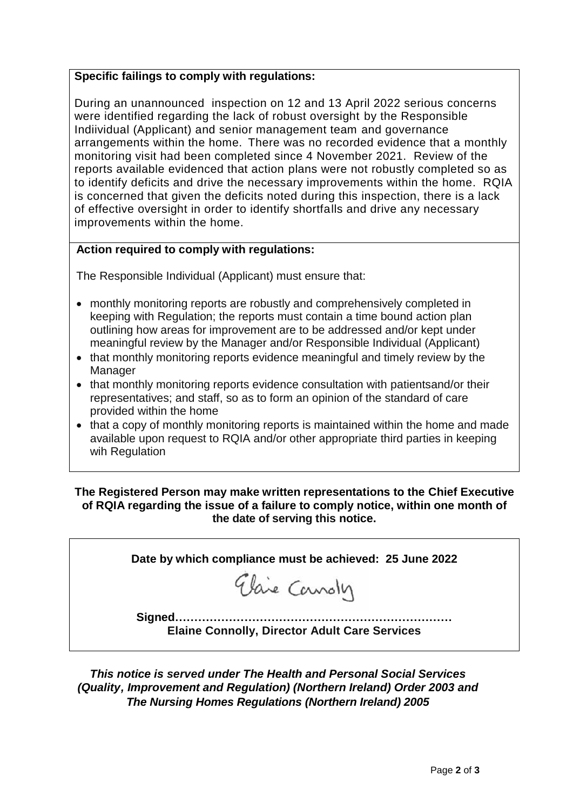### **Specific failings to comply with regulations:**

During an unannounced inspection on 12 and 13 April 2022 serious concerns were identified regarding the lack of robust oversight by the Responsible Indiividual (Applicant) and senior management team and governance arrangements within the home. There was no recorded evidence that a monthly monitoring visit had been completed since 4 November 2021. Review of the reports available evidenced that action plans were not robustly completed so as to identify deficits and drive the necessary improvements within the home. RQIA is concerned that given the deficits noted during this inspection, there is a lack of effective oversight in order to identify shortfalls and drive any necessary improvements within the home.

### **Action required to comply with regulations:**

The Responsible Individual (Applicant) must ensure that:

- monthly monitoring reports are robustly and comprehensively completed in keeping with Regulation; the reports must contain a time bound action plan outlining how areas for improvement are to be addressed and/or kept under meaningful review by the Manager and/or Responsible Individual (Applicant)
- that monthly monitoring reports evidence meaningful and timely review by the Manager
- that monthly monitoring reports evidence consultation with patientsand/or their representatives; and staff, so as to form an opinion of the standard of care provided within the home
- that a copy of monthly monitoring reports is maintained within the home and made available upon request to RQIA and/or other appropriate third parties in keeping wih Regulation

### **The Registered Person may make written representations to the Chief Executive of RQIA regarding the issue of a failure to comply notice, within one month of the date of serving this notice.**

| Date by which compliance must be achieved: 25 June 2022 |
|---------------------------------------------------------|
| Elaie Canoly                                            |
|                                                         |

*This notice is served under The Health and Personal Social Services (Quality, Improvement and Regulation) (Northern Ireland) Order 2003 and The Nursing Homes Regulations (Northern Ireland) 2005*